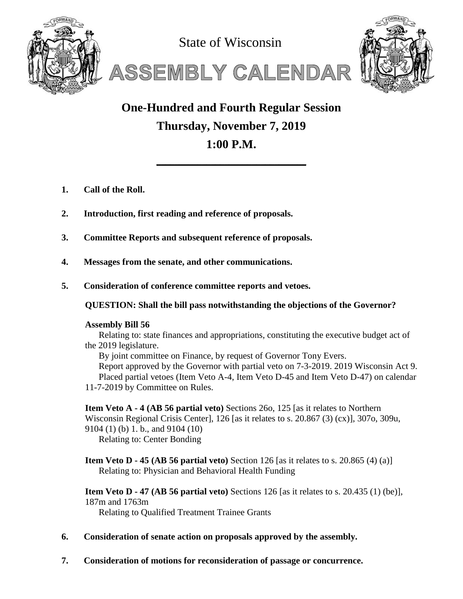

State of Wisconsin





# **One-Hundred and Fourth Regular Session Thursday, November 7, 2019 1:00 P.M.**

**\_\_\_\_\_\_\_\_\_\_\_\_\_\_\_\_\_\_\_\_\_\_\_\_\_\_\_\_\_\_\_\_\_**

- **1. Call of the Roll.**
- **2. Introduction, first reading and reference of proposals.**
- **3. Committee Reports and subsequent reference of proposals.**
- **4. Messages from the senate, and other communications.**
- **5. Consideration of conference committee reports and vetoes.**

**QUESTION: Shall the bill pass notwithstanding the objections of the Governor?**

# **Assembly Bill 56**

Relating to: state finances and appropriations, constituting the executive budget act of the 2019 legislature.

By joint committee on Finance, by request of Governor Tony Evers. Report approved by the Governor with partial veto on 7-3-2019. 2019 Wisconsin Act 9. Placed partial vetoes (Item Veto A-4, Item Veto D-45 and Item Veto D-47) on calendar 11-7-2019 by Committee on Rules.

**Item Veto A - 4 (AB 56 partial veto)** Sections 26o, 125 [as it relates to Northern Wisconsin Regional Crisis Center], 126 [as it relates to s. 20.867 (3) (cx)], 307o, 309u, 9104 (1) (b) 1. b., and 9104 (10)

Relating to: Center Bonding

**Item Veto D · 45 (AB 56 partial veto)** Section 126 [as it relates to s. 20.865 (4) (a)] Relating to: Physician and Behavioral Health Funding

**Item Veto D - 47 (AB 56 partial veto)** Sections 126 [as it relates to s. 20.435 (1) (be)], 187m and 1763m

Relating to Qualified Treatment Trainee Grants

- **6. Consideration of senate action on proposals approved by the assembly.**
- **7. Consideration of motions for reconsideration of passage or concurrence.**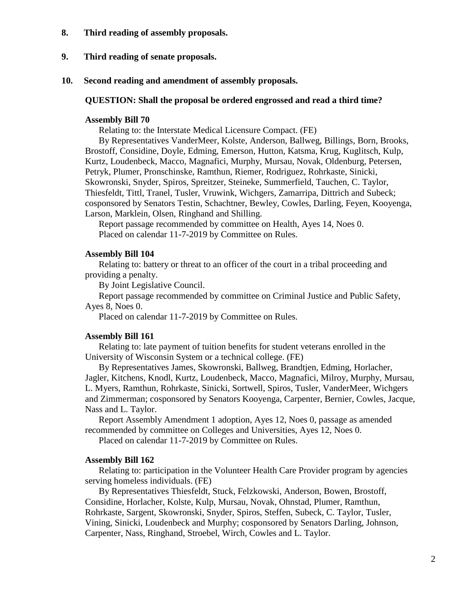- **8. Third reading of assembly proposals.**
- **9. Third reading of senate proposals.**
- **10. Second reading and amendment of assembly proposals.**

## **QUESTION: Shall the proposal be ordered engrossed and read a third time?**

# **Assembly Bill 70**

Relating to: the Interstate Medical Licensure Compact. (FE)

By Representatives VanderMeer, Kolste, Anderson, Ballweg, Billings, Born, Brooks, Brostoff, Considine, Doyle, Edming, Emerson, Hutton, Katsma, Krug, Kuglitsch, Kulp, Kurtz, Loudenbeck, Macco, Magnafici, Murphy, Mursau, Novak, Oldenburg, Petersen, Petryk, Plumer, Pronschinske, Ramthun, Riemer, Rodriguez, Rohrkaste, Sinicki, Skowronski, Snyder, Spiros, Spreitzer, Steineke, Summerfield, Tauchen, C. Taylor, Thiesfeldt, Tittl, Tranel, Tusler, Vruwink, Wichgers, Zamarripa, Dittrich and Subeck; cosponsored by Senators Testin, Schachtner, Bewley, Cowles, Darling, Feyen, Kooyenga, Larson, Marklein, Olsen, Ringhand and Shilling.

Report passage recommended by committee on Health, Ayes 14, Noes 0. Placed on calendar 11-7-2019 by Committee on Rules.

## **Assembly Bill 104**

Relating to: battery or threat to an officer of the court in a tribal proceeding and providing a penalty.

By Joint Legislative Council.

Report passage recommended by committee on Criminal Justice and Public Safety, Ayes 8, Noes 0.

Placed on calendar 11-7-2019 by Committee on Rules.

# **Assembly Bill 161**

Relating to: late payment of tuition benefits for student veterans enrolled in the University of Wisconsin System or a technical college. (FE)

By Representatives James, Skowronski, Ballweg, Brandtjen, Edming, Horlacher, Jagler, Kitchens, Knodl, Kurtz, Loudenbeck, Macco, Magnafici, Milroy, Murphy, Mursau, L. Myers, Ramthun, Rohrkaste, Sinicki, Sortwell, Spiros, Tusler, VanderMeer, Wichgers and Zimmerman; cosponsored by Senators Kooyenga, Carpenter, Bernier, Cowles, Jacque, Nass and L. Taylor.

Report Assembly Amendment 1 adoption, Ayes 12, Noes 0, passage as amended recommended by committee on Colleges and Universities, Ayes 12, Noes 0.

Placed on calendar 11-7-2019 by Committee on Rules.

## **Assembly Bill 162**

Relating to: participation in the Volunteer Health Care Provider program by agencies serving homeless individuals. (FE)

By Representatives Thiesfeldt, Stuck, Felzkowski, Anderson, Bowen, Brostoff, Considine, Horlacher, Kolste, Kulp, Mursau, Novak, Ohnstad, Plumer, Ramthun, Rohrkaste, Sargent, Skowronski, Snyder, Spiros, Steffen, Subeck, C. Taylor, Tusler, Vining, Sinicki, Loudenbeck and Murphy; cosponsored by Senators Darling, Johnson, Carpenter, Nass, Ringhand, Stroebel, Wirch, Cowles and L. Taylor.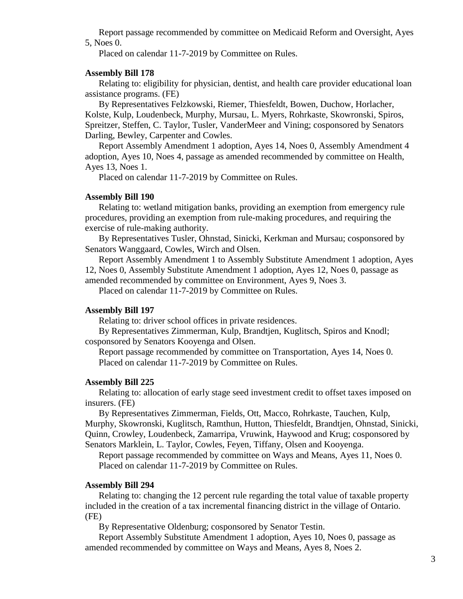Report passage recommended by committee on Medicaid Reform and Oversight, Ayes 5, Noes 0.

Placed on calendar 11-7-2019 by Committee on Rules.

# **Assembly Bill 178**

Relating to: eligibility for physician, dentist, and health care provider educational loan assistance programs. (FE)

By Representatives Felzkowski, Riemer, Thiesfeldt, Bowen, Duchow, Horlacher, Kolste, Kulp, Loudenbeck, Murphy, Mursau, L. Myers, Rohrkaste, Skowronski, Spiros, Spreitzer, Steffen, C. Taylor, Tusler, VanderMeer and Vining; cosponsored by Senators Darling, Bewley, Carpenter and Cowles.

Report Assembly Amendment 1 adoption, Ayes 14, Noes 0, Assembly Amendment 4 adoption, Ayes 10, Noes 4, passage as amended recommended by committee on Health, Ayes 13, Noes 1.

Placed on calendar 11-7-2019 by Committee on Rules.

## **Assembly Bill 190**

Relating to: wetland mitigation banks, providing an exemption from emergency rule procedures, providing an exemption from rule-making procedures, and requiring the exercise of rule-making authority.

By Representatives Tusler, Ohnstad, Sinicki, Kerkman and Mursau; cosponsored by Senators Wanggaard, Cowles, Wirch and Olsen.

Report Assembly Amendment 1 to Assembly Substitute Amendment 1 adoption, Ayes 12, Noes 0, Assembly Substitute Amendment 1 adoption, Ayes 12, Noes 0, passage as amended recommended by committee on Environment, Ayes 9, Noes 3.

Placed on calendar 11-7-2019 by Committee on Rules.

## **Assembly Bill 197**

Relating to: driver school offices in private residences.

By Representatives Zimmerman, Kulp, Brandtjen, Kuglitsch, Spiros and Knodl; cosponsored by Senators Kooyenga and Olsen.

Report passage recommended by committee on Transportation, Ayes 14, Noes 0. Placed on calendar 11-7-2019 by Committee on Rules.

## **Assembly Bill 225**

Relating to: allocation of early stage seed investment credit to offset taxes imposed on insurers. (FE)

By Representatives Zimmerman, Fields, Ott, Macco, Rohrkaste, Tauchen, Kulp, Murphy, Skowronski, Kuglitsch, Ramthun, Hutton, Thiesfeldt, Brandtjen, Ohnstad, Sinicki, Quinn, Crowley, Loudenbeck, Zamarripa, Vruwink, Haywood and Krug; cosponsored by Senators Marklein, L. Taylor, Cowles, Feyen, Tiffany, Olsen and Kooyenga.

Report passage recommended by committee on Ways and Means, Ayes 11, Noes 0. Placed on calendar 11-7-2019 by Committee on Rules.

## **Assembly Bill 294**

Relating to: changing the 12 percent rule regarding the total value of taxable property included in the creation of a tax incremental financing district in the village of Ontario. (FE)

By Representative Oldenburg; cosponsored by Senator Testin.

Report Assembly Substitute Amendment 1 adoption, Ayes 10, Noes 0, passage as amended recommended by committee on Ways and Means, Ayes 8, Noes 2.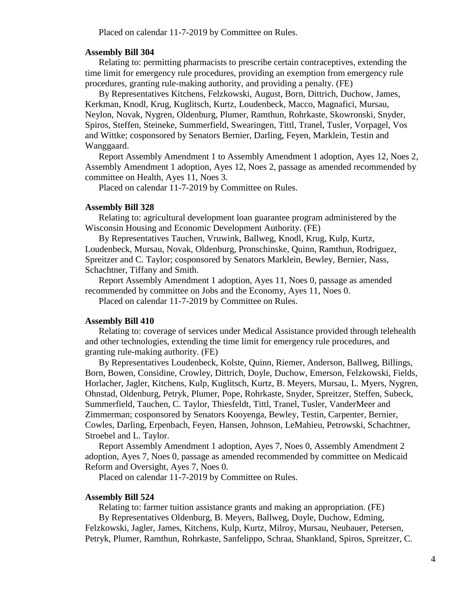Placed on calendar 11-7-2019 by Committee on Rules.

# **Assembly Bill 304**

Relating to: permitting pharmacists to prescribe certain contraceptives, extending the time limit for emergency rule procedures, providing an exemption from emergency rule procedures, granting rule-making authority, and providing a penalty. (FE)

By Representatives Kitchens, Felzkowski, August, Born, Dittrich, Duchow, James, Kerkman, Knodl, Krug, Kuglitsch, Kurtz, Loudenbeck, Macco, Magnafici, Mursau, Neylon, Novak, Nygren, Oldenburg, Plumer, Ramthun, Rohrkaste, Skowronski, Snyder, Spiros, Steffen, Steineke, Summerfield, Swearingen, Tittl, Tranel, Tusler, Vorpagel, Vos and Wittke; cosponsored by Senators Bernier, Darling, Feyen, Marklein, Testin and Wanggaard.

Report Assembly Amendment 1 to Assembly Amendment 1 adoption, Ayes 12, Noes 2, Assembly Amendment 1 adoption, Ayes 12, Noes 2, passage as amended recommended by committee on Health, Ayes 11, Noes 3.

Placed on calendar 11-7-2019 by Committee on Rules.

#### **Assembly Bill 328**

Relating to: agricultural development loan guarantee program administered by the Wisconsin Housing and Economic Development Authority. (FE)

By Representatives Tauchen, Vruwink, Ballweg, Knodl, Krug, Kulp, Kurtz, Loudenbeck, Mursau, Novak, Oldenburg, Pronschinske, Quinn, Ramthun, Rodriguez, Spreitzer and C. Taylor; cosponsored by Senators Marklein, Bewley, Bernier, Nass, Schachtner, Tiffany and Smith.

Report Assembly Amendment 1 adoption, Ayes 11, Noes 0, passage as amended recommended by committee on Jobs and the Economy, Ayes 11, Noes 0.

Placed on calendar 11-7-2019 by Committee on Rules.

#### **Assembly Bill 410**

Relating to: coverage of services under Medical Assistance provided through telehealth and other technologies, extending the time limit for emergency rule procedures, and granting rule-making authority. (FE)

By Representatives Loudenbeck, Kolste, Quinn, Riemer, Anderson, Ballweg, Billings, Born, Bowen, Considine, Crowley, Dittrich, Doyle, Duchow, Emerson, Felzkowski, Fields, Horlacher, Jagler, Kitchens, Kulp, Kuglitsch, Kurtz, B. Meyers, Mursau, L. Myers, Nygren, Ohnstad, Oldenburg, Petryk, Plumer, Pope, Rohrkaste, Snyder, Spreitzer, Steffen, Subeck, Summerfield, Tauchen, C. Taylor, Thiesfeldt, Tittl, Tranel, Tusler, VanderMeer and Zimmerman; cosponsored by Senators Kooyenga, Bewley, Testin, Carpenter, Bernier, Cowles, Darling, Erpenbach, Feyen, Hansen, Johnson, LeMahieu, Petrowski, Schachtner, Stroebel and L. Taylor.

Report Assembly Amendment 1 adoption, Ayes 7, Noes 0, Assembly Amendment 2 adoption, Ayes 7, Noes 0, passage as amended recommended by committee on Medicaid Reform and Oversight, Ayes 7, Noes 0.

Placed on calendar 11-7-2019 by Committee on Rules.

## **Assembly Bill 524**

Relating to: farmer tuition assistance grants and making an appropriation. (FE) By Representatives Oldenburg, B. Meyers, Ballweg, Doyle, Duchow, Edming, Felzkowski, Jagler, James, Kitchens, Kulp, Kurtz, Milroy, Mursau, Neubauer, Petersen, Petryk, Plumer, Ramthun, Rohrkaste, Sanfelippo, Schraa, Shankland, Spiros, Spreitzer, C.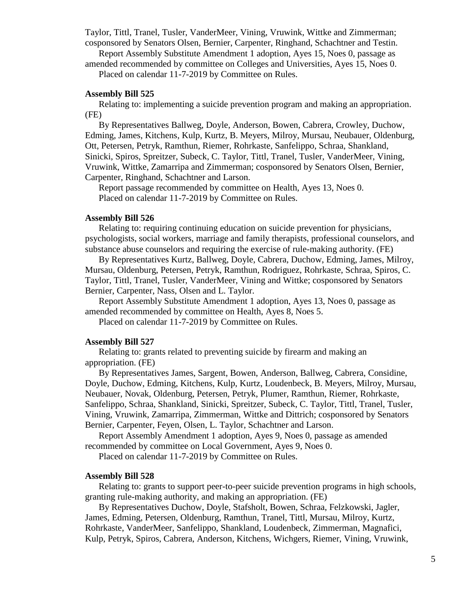Taylor, Tittl, Tranel, Tusler, VanderMeer, Vining, Vruwink, Wittke and Zimmerman; cosponsored by Senators Olsen, Bernier, Carpenter, Ringhand, Schachtner and Testin.

Report Assembly Substitute Amendment 1 adoption, Ayes 15, Noes 0, passage as amended recommended by committee on Colleges and Universities, Ayes 15, Noes 0.

Placed on calendar 11-7-2019 by Committee on Rules.

#### **Assembly Bill 525**

Relating to: implementing a suicide prevention program and making an appropriation. (FE)

By Representatives Ballweg, Doyle, Anderson, Bowen, Cabrera, Crowley, Duchow, Edming, James, Kitchens, Kulp, Kurtz, B. Meyers, Milroy, Mursau, Neubauer, Oldenburg, Ott, Petersen, Petryk, Ramthun, Riemer, Rohrkaste, Sanfelippo, Schraa, Shankland, Sinicki, Spiros, Spreitzer, Subeck, C. Taylor, Tittl, Tranel, Tusler, VanderMeer, Vining, Vruwink, Wittke, Zamarripa and Zimmerman; cosponsored by Senators Olsen, Bernier, Carpenter, Ringhand, Schachtner and Larson.

Report passage recommended by committee on Health, Ayes 13, Noes 0. Placed on calendar 11-7-2019 by Committee on Rules.

# **Assembly Bill 526**

Relating to: requiring continuing education on suicide prevention for physicians, psychologists, social workers, marriage and family therapists, professional counselors, and substance abuse counselors and requiring the exercise of rule-making authority. (FE)

By Representatives Kurtz, Ballweg, Doyle, Cabrera, Duchow, Edming, James, Milroy, Mursau, Oldenburg, Petersen, Petryk, Ramthun, Rodriguez, Rohrkaste, Schraa, Spiros, C. Taylor, Tittl, Tranel, Tusler, VanderMeer, Vining and Wittke; cosponsored by Senators Bernier, Carpenter, Nass, Olsen and L. Taylor.

Report Assembly Substitute Amendment 1 adoption, Ayes 13, Noes 0, passage as amended recommended by committee on Health, Ayes 8, Noes 5.

Placed on calendar 11-7-2019 by Committee on Rules.

## **Assembly Bill 527**

Relating to: grants related to preventing suicide by firearm and making an appropriation. (FE)

By Representatives James, Sargent, Bowen, Anderson, Ballweg, Cabrera, Considine, Doyle, Duchow, Edming, Kitchens, Kulp, Kurtz, Loudenbeck, B. Meyers, Milroy, Mursau, Neubauer, Novak, Oldenburg, Petersen, Petryk, Plumer, Ramthun, Riemer, Rohrkaste, Sanfelippo, Schraa, Shankland, Sinicki, Spreitzer, Subeck, C. Taylor, Tittl, Tranel, Tusler, Vining, Vruwink, Zamarripa, Zimmerman, Wittke and Dittrich; cosponsored by Senators Bernier, Carpenter, Feyen, Olsen, L. Taylor, Schachtner and Larson.

Report Assembly Amendment 1 adoption, Ayes 9, Noes 0, passage as amended recommended by committee on Local Government, Ayes 9, Noes 0.

Placed on calendar 11-7-2019 by Committee on Rules.

## **Assembly Bill 528**

Relating to: grants to support peer-to-peer suicide prevention programs in high schools, granting rule-making authority, and making an appropriation. (FE)

By Representatives Duchow, Doyle, Stafsholt, Bowen, Schraa, Felzkowski, Jagler, James, Edming, Petersen, Oldenburg, Ramthun, Tranel, Tittl, Mursau, Milroy, Kurtz, Rohrkaste, VanderMeer, Sanfelippo, Shankland, Loudenbeck, Zimmerman, Magnafici, Kulp, Petryk, Spiros, Cabrera, Anderson, Kitchens, Wichgers, Riemer, Vining, Vruwink,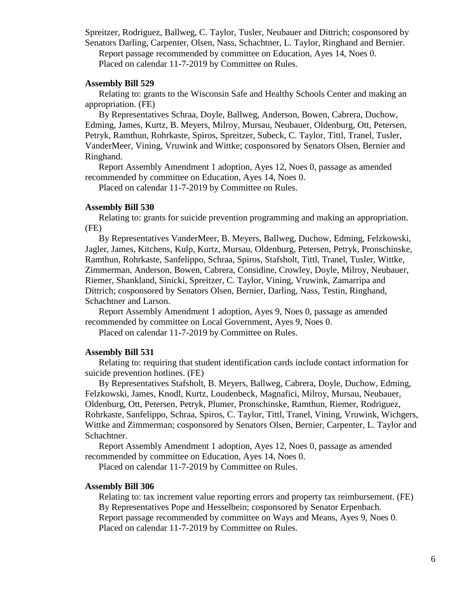Spreitzer, Rodriguez, Ballweg, C. Taylor, Tusler, Neubauer and Dittrich; cosponsored by Senators Darling, Carpenter, Olsen, Nass, Schachtner, L. Taylor, Ringhand and Bernier. Report passage recommended by committee on Education, Ayes 14, Noes 0. Placed on calendar 11-7-2019 by Committee on Rules.

## **Assembly Bill 529**

Relating to: grants to the Wisconsin Safe and Healthy Schools Center and making an appropriation. (FE)

By Representatives Schraa, Doyle, Ballweg, Anderson, Bowen, Cabrera, Duchow, Edming, James, Kurtz, B. Meyers, Milroy, Mursau, Neubauer, Oldenburg, Ott, Petersen, Petryk, Ramthun, Rohrkaste, Spiros, Spreitzer, Subeck, C. Taylor, Tittl, Tranel, Tusler, VanderMeer, Vining, Vruwink and Wittke; cosponsored by Senators Olsen, Bernier and Ringhand.

Report Assembly Amendment 1 adoption, Ayes 12, Noes 0, passage as amended recommended by committee on Education, Ayes 14, Noes 0.

Placed on calendar 11-7-2019 by Committee on Rules.

## **Assembly Bill 530**

Relating to: grants for suicide prevention programming and making an appropriation. (FE)

By Representatives VanderMeer, B. Meyers, Ballweg, Duchow, Edming, Felzkowski, Jagler, James, Kitchens, Kulp, Kurtz, Mursau, Oldenburg, Petersen, Petryk, Pronschinske, Ramthun, Rohrkaste, Sanfelippo, Schraa, Spiros, Stafsholt, Tittl, Tranel, Tusler, Wittke, Zimmerman, Anderson, Bowen, Cabrera, Considine, Crowley, Doyle, Milroy, Neubauer, Riemer, Shankland, Sinicki, Spreitzer, C. Taylor, Vining, Vruwink, Zamarripa and Dittrich; cosponsored by Senators Olsen, Bernier, Darling, Nass, Testin, Ringhand, Schachtner and Larson.

Report Assembly Amendment 1 adoption, Ayes 9, Noes 0, passage as amended recommended by committee on Local Government, Ayes 9, Noes 0.

Placed on calendar 11-7-2019 by Committee on Rules.

## **Assembly Bill 531**

Relating to: requiring that student identification cards include contact information for suicide prevention hotlines. (FE)

By Representatives Stafsholt, B. Meyers, Ballweg, Cabrera, Doyle, Duchow, Edming, Felzkowski, James, Knodl, Kurtz, Loudenbeck, Magnafici, Milroy, Mursau, Neubauer, Oldenburg, Ott, Petersen, Petryk, Plumer, Pronschinske, Ramthun, Riemer, Rodriguez, Rohrkaste, Sanfelippo, Schraa, Spiros, C. Taylor, Tittl, Tranel, Vining, Vruwink, Wichgers, Wittke and Zimmerman; cosponsored by Senators Olsen, Bernier, Carpenter, L. Taylor and Schachtner.

Report Assembly Amendment 1 adoption, Ayes 12, Noes 0, passage as amended recommended by committee on Education, Ayes 14, Noes 0.

Placed on calendar 11-7-2019 by Committee on Rules.

# **Assembly Bill 306**

Relating to: tax increment value reporting errors and property tax reimbursement. (FE) By Representatives Pope and Hesselbein; cosponsored by Senator Erpenbach. Report passage recommended by committee on Ways and Means, Ayes 9, Noes 0. Placed on calendar 11-7-2019 by Committee on Rules.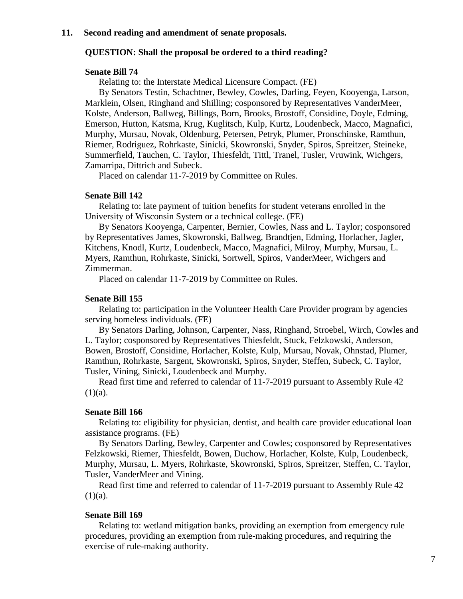## **11. Second reading and amendment of senate proposals.**

## **QUESTION: Shall the proposal be ordered to a third reading?**

# **Senate Bill 74**

Relating to: the Interstate Medical Licensure Compact. (FE)

By Senators Testin, Schachtner, Bewley, Cowles, Darling, Feyen, Kooyenga, Larson, Marklein, Olsen, Ringhand and Shilling; cosponsored by Representatives VanderMeer, Kolste, Anderson, Ballweg, Billings, Born, Brooks, Brostoff, Considine, Doyle, Edming, Emerson, Hutton, Katsma, Krug, Kuglitsch, Kulp, Kurtz, Loudenbeck, Macco, Magnafici, Murphy, Mursau, Novak, Oldenburg, Petersen, Petryk, Plumer, Pronschinske, Ramthun, Riemer, Rodriguez, Rohrkaste, Sinicki, Skowronski, Snyder, Spiros, Spreitzer, Steineke, Summerfield, Tauchen, C. Taylor, Thiesfeldt, Tittl, Tranel, Tusler, Vruwink, Wichgers, Zamarripa, Dittrich and Subeck.

Placed on calendar 11-7-2019 by Committee on Rules.

## **Senate Bill 142**

Relating to: late payment of tuition benefits for student veterans enrolled in the University of Wisconsin System or a technical college. (FE)

By Senators Kooyenga, Carpenter, Bernier, Cowles, Nass and L. Taylor; cosponsored by Representatives James, Skowronski, Ballweg, Brandtjen, Edming, Horlacher, Jagler, Kitchens, Knodl, Kurtz, Loudenbeck, Macco, Magnafici, Milroy, Murphy, Mursau, L. Myers, Ramthun, Rohrkaste, Sinicki, Sortwell, Spiros, VanderMeer, Wichgers and Zimmerman.

Placed on calendar 11-7-2019 by Committee on Rules.

### **Senate Bill 155**

Relating to: participation in the Volunteer Health Care Provider program by agencies serving homeless individuals. (FE)

By Senators Darling, Johnson, Carpenter, Nass, Ringhand, Stroebel, Wirch, Cowles and L. Taylor; cosponsored by Representatives Thiesfeldt, Stuck, Felzkowski, Anderson, Bowen, Brostoff, Considine, Horlacher, Kolste, Kulp, Mursau, Novak, Ohnstad, Plumer, Ramthun, Rohrkaste, Sargent, Skowronski, Spiros, Snyder, Steffen, Subeck, C. Taylor, Tusler, Vining, Sinicki, Loudenbeck and Murphy.

Read first time and referred to calendar of 11-7-2019 pursuant to Assembly Rule 42  $(1)(a)$ .

# **Senate Bill 166**

Relating to: eligibility for physician, dentist, and health care provider educational loan assistance programs. (FE)

By Senators Darling, Bewley, Carpenter and Cowles; cosponsored by Representatives Felzkowski, Riemer, Thiesfeldt, Bowen, Duchow, Horlacher, Kolste, Kulp, Loudenbeck, Murphy, Mursau, L. Myers, Rohrkaste, Skowronski, Spiros, Spreitzer, Steffen, C. Taylor, Tusler, VanderMeer and Vining.

Read first time and referred to calendar of 11-7-2019 pursuant to Assembly Rule 42  $(1)(a)$ .

## **Senate Bill 169**

Relating to: wetland mitigation banks, providing an exemption from emergency rule procedures, providing an exemption from rule-making procedures, and requiring the exercise of rule-making authority.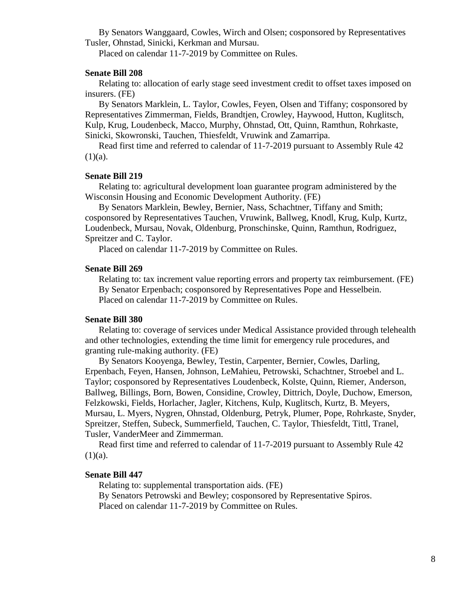By Senators Wanggaard, Cowles, Wirch and Olsen; cosponsored by Representatives Tusler, Ohnstad, Sinicki, Kerkman and Mursau.

Placed on calendar 11-7-2019 by Committee on Rules.

#### **Senate Bill 208**

Relating to: allocation of early stage seed investment credit to offset taxes imposed on insurers. (FE)

By Senators Marklein, L. Taylor, Cowles, Feyen, Olsen and Tiffany; cosponsored by Representatives Zimmerman, Fields, Brandtjen, Crowley, Haywood, Hutton, Kuglitsch, Kulp, Krug, Loudenbeck, Macco, Murphy, Ohnstad, Ott, Quinn, Ramthun, Rohrkaste, Sinicki, Skowronski, Tauchen, Thiesfeldt, Vruwink and Zamarripa.

Read first time and referred to calendar of 11-7-2019 pursuant to Assembly Rule 42  $(1)(a)$ .

## **Senate Bill 219**

Relating to: agricultural development loan guarantee program administered by the Wisconsin Housing and Economic Development Authority. (FE)

By Senators Marklein, Bewley, Bernier, Nass, Schachtner, Tiffany and Smith; cosponsored by Representatives Tauchen, Vruwink, Ballweg, Knodl, Krug, Kulp, Kurtz, Loudenbeck, Mursau, Novak, Oldenburg, Pronschinske, Quinn, Ramthun, Rodriguez, Spreitzer and C. Taylor.

Placed on calendar 11-7-2019 by Committee on Rules.

#### **Senate Bill 269**

Relating to: tax increment value reporting errors and property tax reimbursement. (FE) By Senator Erpenbach; cosponsored by Representatives Pope and Hesselbein. Placed on calendar 11-7-2019 by Committee on Rules.

## **Senate Bill 380**

Relating to: coverage of services under Medical Assistance provided through telehealth and other technologies, extending the time limit for emergency rule procedures, and granting rule-making authority. (FE)

By Senators Kooyenga, Bewley, Testin, Carpenter, Bernier, Cowles, Darling, Erpenbach, Feyen, Hansen, Johnson, LeMahieu, Petrowski, Schachtner, Stroebel and L. Taylor; cosponsored by Representatives Loudenbeck, Kolste, Quinn, Riemer, Anderson, Ballweg, Billings, Born, Bowen, Considine, Crowley, Dittrich, Doyle, Duchow, Emerson, Felzkowski, Fields, Horlacher, Jagler, Kitchens, Kulp, Kuglitsch, Kurtz, B. Meyers, Mursau, L. Myers, Nygren, Ohnstad, Oldenburg, Petryk, Plumer, Pope, Rohrkaste, Snyder, Spreitzer, Steffen, Subeck, Summerfield, Tauchen, C. Taylor, Thiesfeldt, Tittl, Tranel, Tusler, VanderMeer and Zimmerman.

Read first time and referred to calendar of 11-7-2019 pursuant to Assembly Rule 42  $(1)(a)$ .

#### **Senate Bill 447**

Relating to: supplemental transportation aids. (FE) By Senators Petrowski and Bewley; cosponsored by Representative Spiros. Placed on calendar 11-7-2019 by Committee on Rules.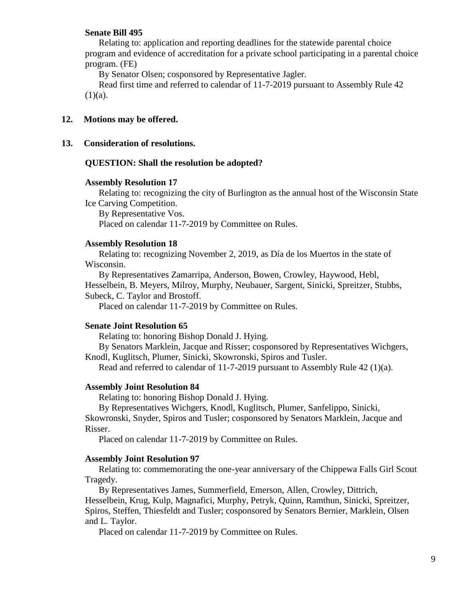## **Senate Bill 495**

Relating to: application and reporting deadlines for the statewide parental choice program and evidence of accreditation for a private school participating in a parental choice program. (FE)

By Senator Olsen; cosponsored by Representative Jagler.

Read first time and referred to calendar of 11-7-2019 pursuant to Assembly Rule 42  $(1)(a)$ .

# **12. Motions may be offered.**

**13. Consideration of resolutions.**

#### **QUESTION: Shall the resolution be adopted?**

## **Assembly Resolution 17**

Relating to: recognizing the city of Burlington as the annual host of the Wisconsin State Ice Carving Competition.

By Representative Vos. Placed on calendar 11-7-2019 by Committee on Rules.

#### **Assembly Resolution 18**

Relating to: recognizing November 2, 2019, as Día de los Muertos in the state of Wisconsin.

By Representatives Zamarripa, Anderson, Bowen, Crowley, Haywood, Hebl, Hesselbein, B. Meyers, Milroy, Murphy, Neubauer, Sargent, Sinicki, Spreitzer, Stubbs, Subeck, C. Taylor and Brostoff.

Placed on calendar 11-7-2019 by Committee on Rules.

## **Senate Joint Resolution 65**

Relating to: honoring Bishop Donald J. Hying.

By Senators Marklein, Jacque and Risser; cosponsored by Representatives Wichgers, Knodl, Kuglitsch, Plumer, Sinicki, Skowronski, Spiros and Tusler.

Read and referred to calendar of 11-7-2019 pursuant to Assembly Rule  $42$  (1)(a).

## **Assembly Joint Resolution 84**

Relating to: honoring Bishop Donald J. Hying.

By Representatives Wichgers, Knodl, Kuglitsch, Plumer, Sanfelippo, Sinicki,

Skowronski, Snyder, Spiros and Tusler; cosponsored by Senators Marklein, Jacque and Risser.

Placed on calendar 11-7-2019 by Committee on Rules.

#### **Assembly Joint Resolution 97**

Relating to: commemorating the one-year anniversary of the Chippewa Falls Girl Scout Tragedy.

By Representatives James, Summerfield, Emerson, Allen, Crowley, Dittrich, Hesselbein, Krug, Kulp, Magnafici, Murphy, Petryk, Quinn, Ramthun, Sinicki, Spreitzer, Spiros, Steffen, Thiesfeldt and Tusler; cosponsored by Senators Bernier, Marklein, Olsen and L. Taylor.

Placed on calendar 11-7-2019 by Committee on Rules.